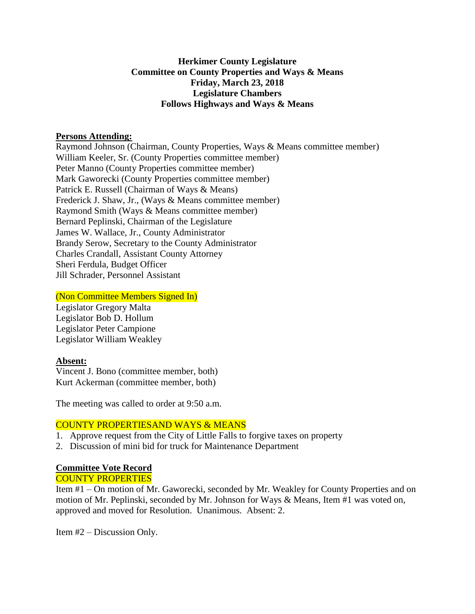# **Herkimer County Legislature Committee on County Properties and Ways & Means Friday, March 23, 2018 Legislature Chambers Follows Highways and Ways & Means**

### **Persons Attending:**

Raymond Johnson (Chairman, County Properties, Ways & Means committee member) William Keeler, Sr. (County Properties committee member) Peter Manno (County Properties committee member) Mark Gaworecki (County Properties committee member) Patrick E. Russell (Chairman of Ways & Means) Frederick J. Shaw, Jr., (Ways & Means committee member) Raymond Smith (Ways & Means committee member) Bernard Peplinski, Chairman of the Legislature James W. Wallace, Jr., County Administrator Brandy Serow, Secretary to the County Administrator Charles Crandall, Assistant County Attorney Sheri Ferdula, Budget Officer Jill Schrader, Personnel Assistant

### (Non Committee Members Signed In)

Legislator Gregory Malta Legislator Bob D. Hollum Legislator Peter Campione Legislator William Weakley

# **Absent:**

Vincent J. Bono (committee member, both) Kurt Ackerman (committee member, both)

The meeting was called to order at 9:50 a.m.

# COUNTY PROPERTIESAND WAYS & MEANS

- 1. Approve request from the City of Little Falls to forgive taxes on property
- 2. Discussion of mini bid for truck for Maintenance Department

# **Committee Vote Record**

# COUNTY PROPERTIES

Item #1 – On motion of Mr. Gaworecki, seconded by Mr. Weakley for County Properties and on motion of Mr. Peplinski, seconded by Mr. Johnson for Ways & Means, Item #1 was voted on, approved and moved for Resolution. Unanimous. Absent: 2.

Item #2 – Discussion Only.